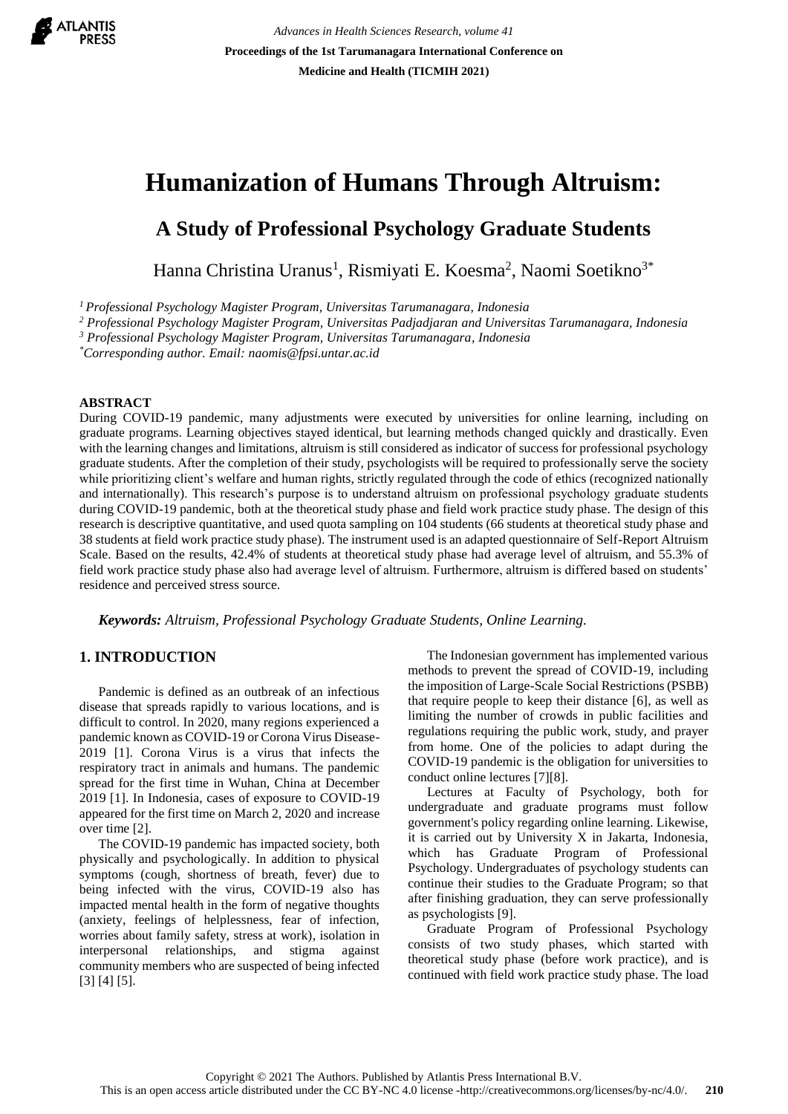

*Advances in Health Sciences Research, volume 41* **Proceedings of the 1st Tarumanagara International Conference on Medicine and Health (TICMIH 2021)**

# **Humanization of Humans Through Altruism:**

# **A Study of Professional Psychology Graduate Students**

Hanna Christina Uranus<sup>1</sup>, Rismiyati E. Koesma<sup>2</sup>, Naomi Soetikno<sup>3\*</sup>

*<sup>1</sup>Professional Psychology Magister Program, Universitas Tarumanagara, Indonesia*

*<sup>2</sup> Professional Psychology Magister Program, Universitas Padjadjaran and Universitas Tarumanagara, Indonesia*

*<sup>3</sup> Professional Psychology Magister Program, Universitas Tarumanagara, Indonesia*

*\*Corresponding author. Email: naomis@fpsi.untar.ac.id*

#### **ABSTRACT**

During COVID-19 pandemic, many adjustments were executed by universities for online learning, including on graduate programs. Learning objectives stayed identical, but learning methods changed quickly and drastically. Even with the learning changes and limitations, altruism is still considered as indicator of success for professional psychology graduate students. After the completion of their study, psychologists will be required to professionally serve the society while prioritizing client's welfare and human rights, strictly regulated through the code of ethics (recognized nationally and internationally). This research's purpose is to understand altruism on professional psychology graduate students during COVID-19 pandemic, both at the theoretical study phase and field work practice study phase. The design of this research is descriptive quantitative, and used quota sampling on 104 students (66 students at theoretical study phase and 38 students at field work practice study phase). The instrument used is an adapted questionnaire of Self-Report Altruism Scale. Based on the results, 42.4% of students at theoretical study phase had average level of altruism, and 55.3% of field work practice study phase also had average level of altruism. Furthermore, altruism is differed based on students' residence and perceived stress source.

*Keywords: Altruism, Professional Psychology Graduate Students, Online Learning.*

#### **1. INTRODUCTION**

Pandemic is defined as an outbreak of an infectious disease that spreads rapidly to various locations, and is difficult to control. In 2020, many regions experienced a pandemic known as COVID-19 or Corona Virus Disease-2019 [1]. Corona Virus is a virus that infects the respiratory tract in animals and humans. The pandemic spread for the first time in Wuhan, China at December 2019 [1]. In Indonesia, cases of exposure to COVID-19 appeared for the first time on March 2, 2020 and increase over time [2].

The COVID-19 pandemic has impacted society, both physically and psychologically. In addition to physical symptoms (cough, shortness of breath, fever) due to being infected with the virus, COVID-19 also has impacted mental health in the form of negative thoughts (anxiety, feelings of helplessness, fear of infection, worries about family safety, stress at work), isolation in interpersonal relationships, and stigma against community members who are suspected of being infected [3] [4] [5].

The Indonesian government has implemented various methods to prevent the spread of COVID-19, including the imposition of Large-Scale Social Restrictions (PSBB) that require people to keep their distance [6], as well as limiting the number of crowds in public facilities and regulations requiring the public work, study, and prayer from home. One of the policies to adapt during the COVID-19 pandemic is the obligation for universities to conduct online lectures [7][8].

Lectures at Faculty of Psychology, both for undergraduate and graduate programs must follow government's policy regarding online learning. Likewise, it is carried out by University X in Jakarta, Indonesia, which has Graduate Program of Professional Psychology. Undergraduates of psychology students can continue their studies to the Graduate Program; so that after finishing graduation, they can serve professionally as psychologists [9].

Graduate Program of Professional Psychology consists of two study phases, which started with theoretical study phase (before work practice), and is continued with field work practice study phase. The load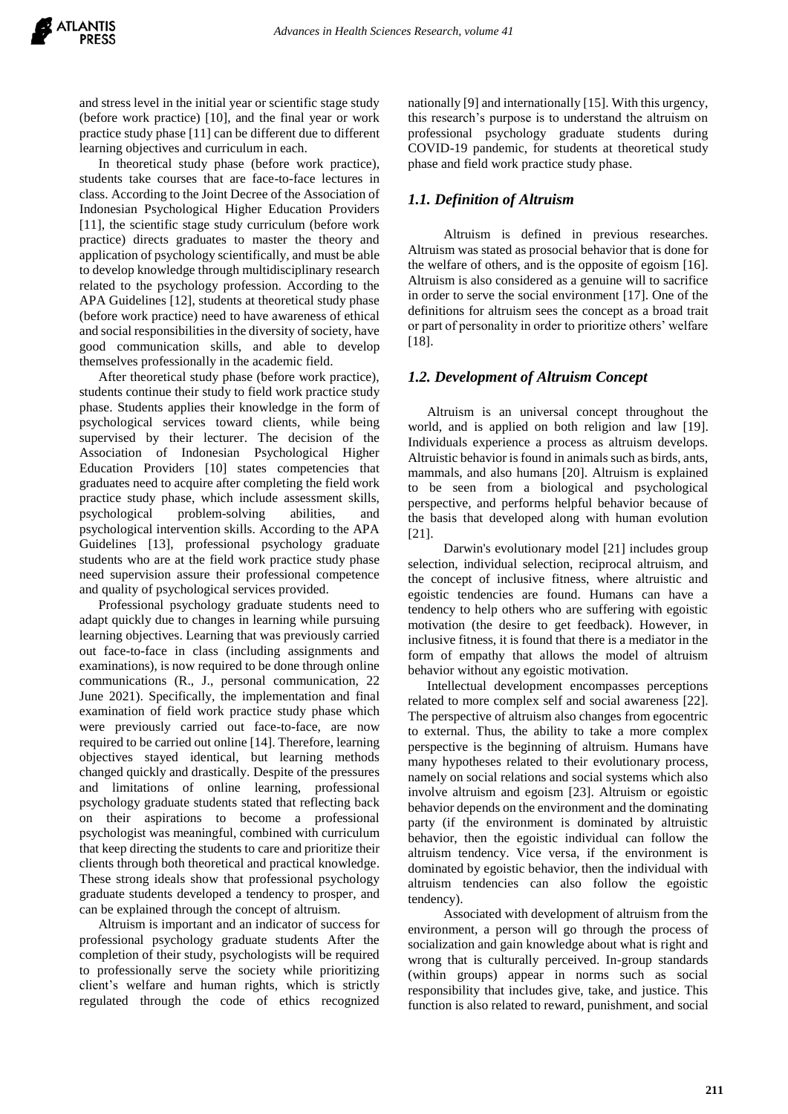and stress level in the initial year or scientific stage study (before work practice) [10], and the final year or work practice study phase [11] can be different due to different learning objectives and curriculum in each.

In theoretical study phase (before work practice), students take courses that are face-to-face lectures in class. According to the Joint Decree of the Association of Indonesian Psychological Higher Education Providers [11], the scientific stage study curriculum (before work practice) directs graduates to master the theory and application of psychology scientifically, and must be able to develop knowledge through multidisciplinary research related to the psychology profession. According to the APA Guidelines [12], students at theoretical study phase (before work practice) need to have awareness of ethical and social responsibilities in the diversity of society, have good communication skills, and able to develop themselves professionally in the academic field.

After theoretical study phase (before work practice), students continue their study to field work practice study phase. Students applies their knowledge in the form of psychological services toward clients, while being supervised by their lecturer. The decision of the Association of Indonesian Psychological Higher Education Providers [10] states competencies that graduates need to acquire after completing the field work practice study phase, which include assessment skills, psychological problem-solving abilities, and psychological intervention skills. According to the APA Guidelines [13], professional psychology graduate students who are at the field work practice study phase need supervision assure their professional competence and quality of psychological services provided.

Professional psychology graduate students need to adapt quickly due to changes in learning while pursuing learning objectives. Learning that was previously carried out face-to-face in class (including assignments and examinations), is now required to be done through online communications (R., J., personal communication, 22 June 2021). Specifically, the implementation and final examination of field work practice study phase which were previously carried out face-to-face, are now required to be carried out online [14]. Therefore, learning objectives stayed identical, but learning methods changed quickly and drastically. Despite of the pressures and limitations of online learning, professional psychology graduate students stated that reflecting back on their aspirations to become a professional psychologist was meaningful, combined with curriculum that keep directing the students to care and prioritize their clients through both theoretical and practical knowledge. These strong ideals show that professional psychology graduate students developed a tendency to prosper, and can be explained through the concept of altruism.

Altruism is important and an indicator of success for professional psychology graduate students After the completion of their study, psychologists will be required to professionally serve the society while prioritizing client's welfare and human rights, which is strictly regulated through the code of ethics recognized nationally [9] and internationally [15]. With this urgency, this research's purpose is to understand the altruism on professional psychology graduate students during COVID-19 pandemic, for students at theoretical study phase and field work practice study phase.

#### *1.1. Definition of Altruism*

 Altruism is defined in previous researches. Altruism was stated as prosocial behavior that is done for the welfare of others, and is the opposite of egoism [16]. Altruism is also considered as a genuine will to sacrifice in order to serve the social environment [17]. One of the definitions for altruism sees the concept as a broad trait or part of personality in order to prioritize others' welfare [18].

#### *1.2. Development of Altruism Concept*

Altruism is an universal concept throughout the world, and is applied on both religion and law [19]. Individuals experience a process as altruism develops. Altruistic behavior is found in animals such as birds, ants, mammals, and also humans [20]. Altruism is explained to be seen from a biological and psychological perspective, and performs helpful behavior because of the basis that developed along with human evolution [21].

 Darwin's evolutionary model [21] includes group selection, individual selection, reciprocal altruism, and the concept of inclusive fitness, where altruistic and egoistic tendencies are found. Humans can have a tendency to help others who are suffering with egoistic motivation (the desire to get feedback). However, in inclusive fitness, it is found that there is a mediator in the form of empathy that allows the model of altruism behavior without any egoistic motivation.

Intellectual development encompasses perceptions related to more complex self and social awareness [22]. The perspective of altruism also changes from egocentric to external. Thus, the ability to take a more complex perspective is the beginning of altruism. Humans have many hypotheses related to their evolutionary process, namely on social relations and social systems which also involve altruism and egoism [23]. Altruism or egoistic behavior depends on the environment and the dominating party (if the environment is dominated by altruistic behavior, then the egoistic individual can follow the altruism tendency. Vice versa, if the environment is dominated by egoistic behavior, then the individual with altruism tendencies can also follow the egoistic tendency).

 Associated with development of altruism from the environment, a person will go through the process of socialization and gain knowledge about what is right and wrong that is culturally perceived. In-group standards (within groups) appear in norms such as social responsibility that includes give, take, and justice. This function is also related to reward, punishment, and social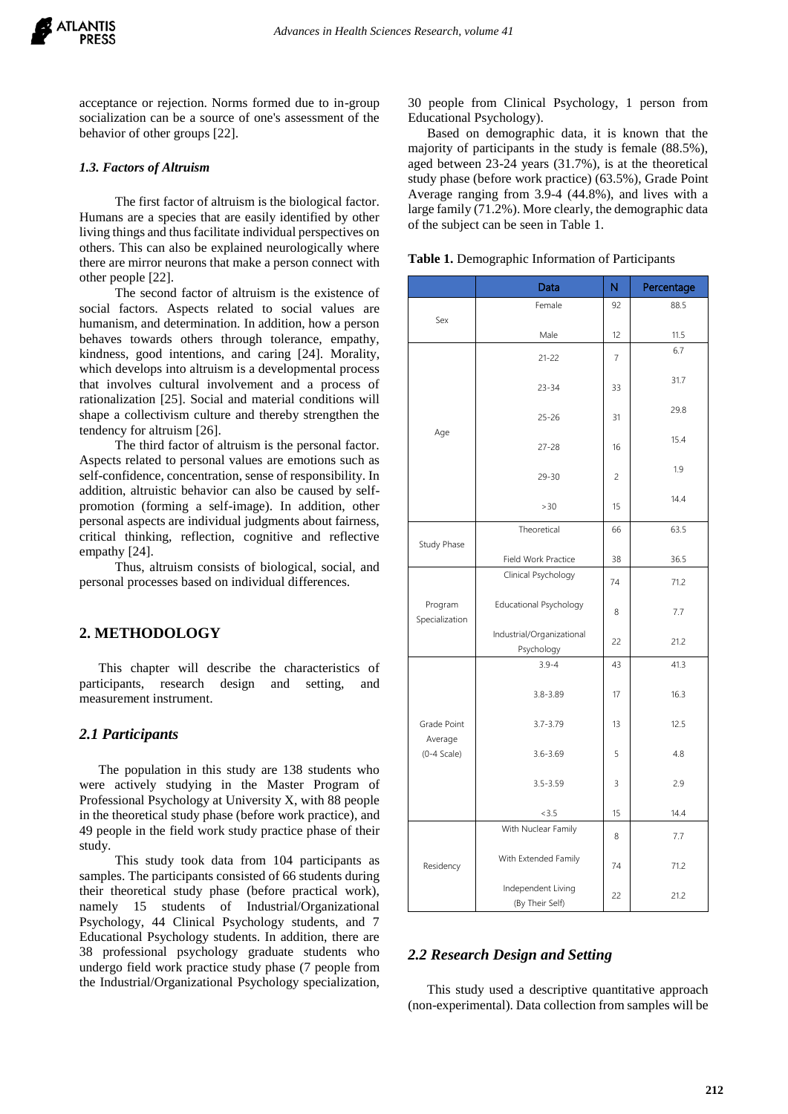acceptance or rejection. Norms formed due to in-group socialization can be a source of one's assessment of the behavior of other groups [22].

#### *1.3. Factors of Altruism*

 The first factor of altruism is the biological factor. Humans are a species that are easily identified by other living things and thus facilitate individual perspectives on others. This can also be explained neurologically where there are mirror neurons that make a person connect with other people [22].

 The second factor of altruism is the existence of social factors. Aspects related to social values are humanism, and determination. In addition, how a person behaves towards others through tolerance, empathy, kindness, good intentions, and caring [24]. Morality, which develops into altruism is a developmental process that involves cultural involvement and a process of rationalization [25]. Social and material conditions will shape a collectivism culture and thereby strengthen the tendency for altruism [26].

 The third factor of altruism is the personal factor. Aspects related to personal values are emotions such as self-confidence, concentration, sense of responsibility. In addition, altruistic behavior can also be caused by selfpromotion (forming a self-image). In addition, other personal aspects are individual judgments about fairness, critical thinking, reflection, cognitive and reflective empathy [24].

 Thus, altruism consists of biological, social, and personal processes based on individual differences.

#### **2. METHODOLOGY**

This chapter will describe the characteristics of participants, research design and setting, and measurement instrument.

#### *2.1 Participants*

The population in this study are 138 students who were actively studying in the Master Program of Professional Psychology at University X, with 88 people in the theoretical study phase (before work practice), and 49 people in the field work study practice phase of their study.

 This study took data from 104 participants as samples. The participants consisted of 66 students during their theoretical study phase (before practical work), namely 15 students of Industrial/Organizational Psychology, 44 Clinical Psychology students, and 7 Educational Psychology students. In addition, there are 38 professional psychology graduate students who undergo field work practice study phase (7 people from the Industrial/Organizational Psychology specialization, 30 people from Clinical Psychology, 1 person from Educational Psychology).

Based on demographic data, it is known that the majority of participants in the study is female (88.5%), aged between 23-24 years (31.7%), is at the theoretical study phase (before work practice) (63.5%), Grade Point Average ranging from 3.9-4 (44.8%), and lives with a large family (71.2%). More clearly, the demographic data of the subject can be seen in Table 1.

|                           | Data                          | N              | Percentage |  |
|---------------------------|-------------------------------|----------------|------------|--|
|                           | Female                        | 92             | 88.5       |  |
| Sex                       | Male                          | 12             | 11.5       |  |
|                           | $21 - 22$                     | $\overline{7}$ | 6.7        |  |
|                           | $23 - 34$                     |                | 31.7       |  |
|                           |                               |                |            |  |
|                           | $25 - 26$                     |                | 29.8       |  |
| Age                       |                               |                | 15.4       |  |
|                           | $27 - 28$                     | 16             |            |  |
|                           | $29 - 30$                     | 2              | 1.9        |  |
|                           | >30                           | 15             | 14.4       |  |
|                           | Theoretical                   | 66             | 63.5       |  |
| Study Phase               |                               |                |            |  |
|                           | Field Work Practice           | 38             | 36.5       |  |
|                           | Clinical Psychology           | 74             | 71.2       |  |
| Program<br>Specialization | <b>Educational Psychology</b> | 8              | 7.7        |  |
|                           | Industrial/Organizational     | 22             | 21.2       |  |
|                           | Psychology                    |                |            |  |
|                           | $3.9 - 4$                     | 43             | 41.3       |  |
|                           | $3.8 - 3.89$                  | 17             | 16.3       |  |
| Grade Point               | $3.7 - 3.79$                  | 13             | 12.5       |  |
| Average<br>$(0-4 Scale)$  | $3.6 - 3.69$                  | 5              | 4.8        |  |
|                           |                               |                |            |  |
|                           | $3.5 - 3.59$                  | 3              | 2.9        |  |
|                           | < 3.5                         | 15             | 14.4       |  |
| Residency                 | With Nuclear Family           | 8              | 7.7        |  |
|                           | With Extended Family          | 74             | 71.2       |  |
|                           | Independent Living            | 22             | 21.2       |  |
|                           | (By Their Self)               |                |            |  |

**Table 1.** Demographic Information of Participants

#### *2.2 Research Design and Setting*

This study used a descriptive quantitative approach (non-experimental). Data collection from samples will be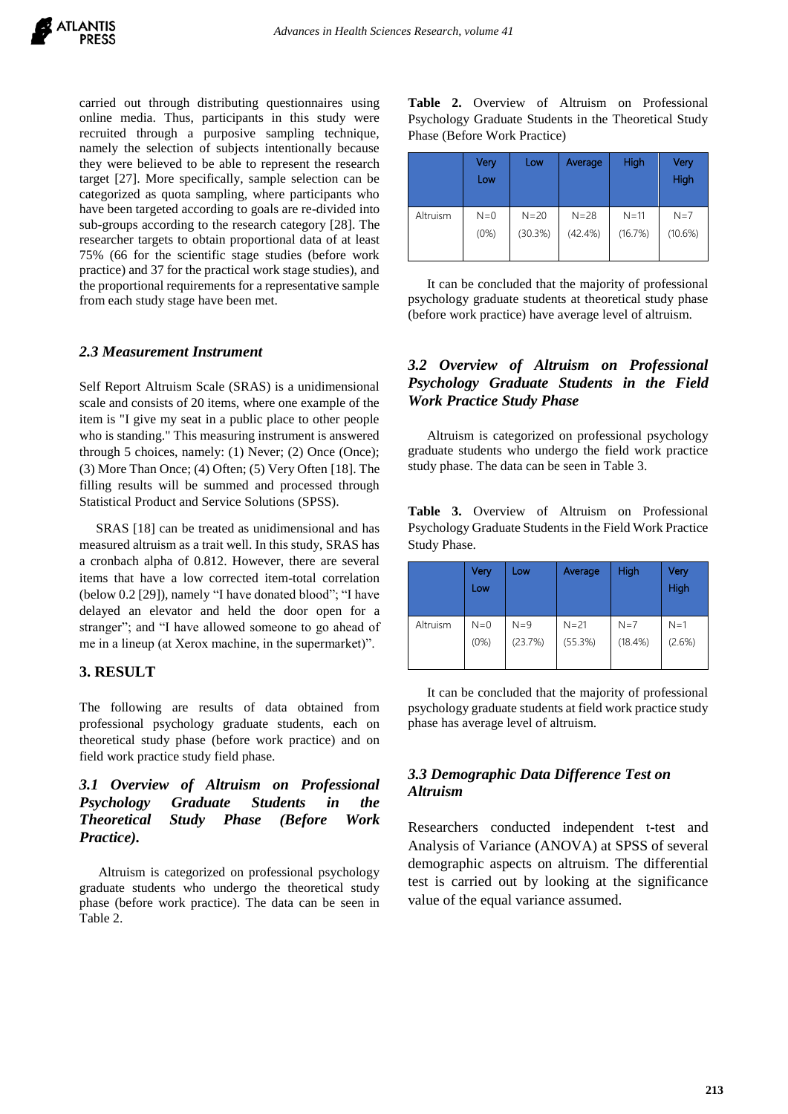carried out through distributing questionnaires using online media. Thus, participants in this study were recruited through a purposive sampling technique, namely the selection of subjects intentionally because they were believed to be able to represent the research target [27]. More specifically, sample selection can be categorized as quota sampling, where participants who have been targeted according to goals are re-divided into sub-groups according to the research category [28]. The researcher targets to obtain proportional data of at least 75% (66 for the scientific stage studies (before work practice) and 37 for the practical work stage studies), and the proportional requirements for a representative sample from each study stage have been met.

## *2.3 Measurement Instrument*

Self Report Altruism Scale (SRAS) is a unidimensional scale and consists of 20 items, where one example of the item is "I give my seat in a public place to other people who is standing." This measuring instrument is answered through 5 choices, namely: (1) Never; (2) Once (Once); (3) More Than Once; (4) Often; (5) Very Often [18]. The filling results will be summed and processed through Statistical Product and Service Solutions (SPSS).

 SRAS [18] can be treated as unidimensional and has measured altruism as a trait well. In this study, SRAS has a cronbach alpha of 0.812. However, there are several items that have a low corrected item-total correlation (below 0.2 [29]), namely "I have donated blood"; "I have delayed an elevator and held the door open for a stranger"; and "I have allowed someone to go ahead of me in a lineup (at Xerox machine, in the supermarket)".

# **3. RESULT**

The following are results of data obtained from professional psychology graduate students, each on theoretical study phase (before work practice) and on field work practice study field phase.

# *3.1 Overview of Altruism on Professional Psychology Graduate Students in the Theoretical Study Phase (Before Work Practice).*

Altruism is categorized on professional psychology graduate students who undergo the theoretical study phase (before work practice). The data can be seen in Table 2.

**Table 2.** Overview of Altruism on Professional Psychology Graduate Students in the Theoretical Study Phase (Before Work Practice)

|          | Very<br>Low | Low      | Average    | High     | Very<br>High |
|----------|-------------|----------|------------|----------|--------------|
| Altruism | $N=0$       | $N = 20$ | $N = 28$   | $N = 11$ | $N=7$        |
|          | (0%)        | (30.3%)  | $(42.4\%)$ | (16.7%)  | (10.6%)      |

It can be concluded that the majority of professional psychology graduate students at theoretical study phase (before work practice) have average level of altruism.

# *3.2 Overview of Altruism on Professional Psychology Graduate Students in the Field Work Practice Study Phase*

Altruism is categorized on professional psychology graduate students who undergo the field work practice study phase. The data can be seen in Table 3.

|              |  |  | <b>Table 3.</b> Overview of Altruism on Professional    |
|--------------|--|--|---------------------------------------------------------|
|              |  |  | Psychology Graduate Students in the Field Work Practice |
| Study Phase. |  |  |                                                         |

|          | Very<br>Low | Low     | Average  | High    | Very<br>High |
|----------|-------------|---------|----------|---------|--------------|
| Altruism | $N=0$       | $N=9$   | $N = 21$ | $N=7$   | $N=1$        |
|          | (0%)        | (23.7%) | (55.3%)  | (18.4%) | (2.6%)       |

It can be concluded that the majority of professional psychology graduate students at field work practice study phase has average level of altruism.

# *3.3 Demographic Data Difference Test on Altruism*

Researchers conducted independent t-test and Analysis of Variance (ANOVA) at SPSS of several demographic aspects on altruism. The differential test is carried out by looking at the significance value of the equal variance assumed.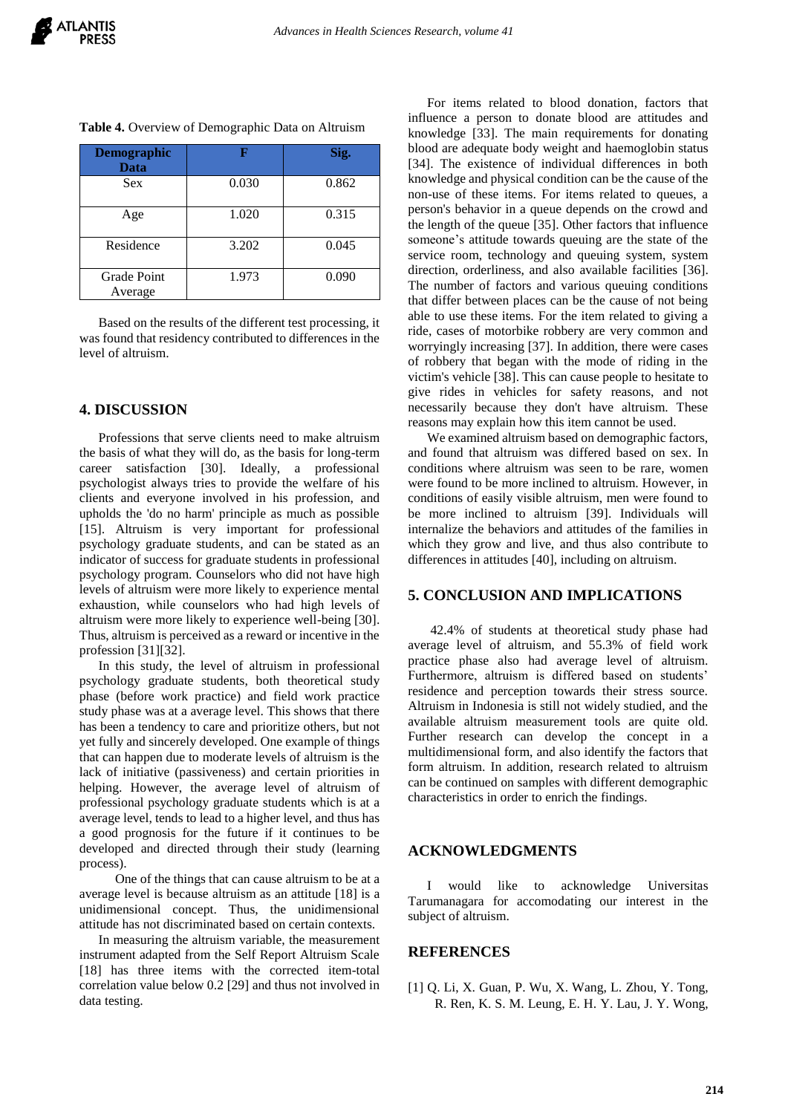| <b>Demographic</b><br><b>Data</b> |       | Sig.  |
|-----------------------------------|-------|-------|
| <b>Sex</b>                        | 0.030 | 0.862 |
| Age                               | 1.020 | 0.315 |
| Residence                         | 3.202 | 0.045 |
| Grade Point<br>Average            | 1.973 | 0.090 |

**Table 4.** Overview of Demographic Data on Altruism

Based on the results of the different test processing, it was found that residency contributed to differences in the level of altruism.

#### **4. DISCUSSION**

Professions that serve clients need to make altruism the basis of what they will do, as the basis for long-term career satisfaction [30]. Ideally, a professional psychologist always tries to provide the welfare of his clients and everyone involved in his profession, and upholds the 'do no harm' principle as much as possible [15]. Altruism is very important for professional psychology graduate students, and can be stated as an indicator of success for graduate students in professional psychology program. Counselors who did not have high levels of altruism were more likely to experience mental exhaustion, while counselors who had high levels of altruism were more likely to experience well-being [30]. Thus, altruism is perceived as a reward or incentive in the profession [31][32].

In this study, the level of altruism in professional psychology graduate students, both theoretical study phase (before work practice) and field work practice study phase was at a average level. This shows that there has been a tendency to care and prioritize others, but not yet fully and sincerely developed. One example of things that can happen due to moderate levels of altruism is the lack of initiative (passiveness) and certain priorities in helping. However, the average level of altruism of professional psychology graduate students which is at a average level, tends to lead to a higher level, and thus has a good prognosis for the future if it continues to be developed and directed through their study (learning process).

 One of the things that can cause altruism to be at a average level is because altruism as an attitude [18] is a unidimensional concept. Thus, the unidimensional attitude has not discriminated based on certain contexts.

In measuring the altruism variable, the measurement instrument adapted from the Self Report Altruism Scale [18] has three items with the corrected item-total correlation value below 0.2 [29] and thus not involved in data testing.

For items related to blood donation, factors that influence a person to donate blood are attitudes and knowledge [33]. The main requirements for donating blood are adequate body weight and haemoglobin status [34]. The existence of individual differences in both knowledge and physical condition can be the cause of the non-use of these items. For items related to queues, a person's behavior in a queue depends on the crowd and the length of the queue [35]. Other factors that influence someone's attitude towards queuing are the state of the service room, technology and queuing system, system direction, orderliness, and also available facilities [36]. The number of factors and various queuing conditions that differ between places can be the cause of not being able to use these items. For the item related to giving a ride, cases of motorbike robbery are very common and worryingly increasing [37]. In addition, there were cases of robbery that began with the mode of riding in the victim's vehicle [38]. This can cause people to hesitate to give rides in vehicles for safety reasons, and not necessarily because they don't have altruism. These reasons may explain how this item cannot be used.

We examined altruism based on demographic factors, and found that altruism was differed based on sex. In conditions where altruism was seen to be rare, women were found to be more inclined to altruism. However, in conditions of easily visible altruism, men were found to be more inclined to altruism [39]. Individuals will internalize the behaviors and attitudes of the families in which they grow and live, and thus also contribute to differences in attitudes [40], including on altruism.

## **5. CONCLUSION AND IMPLICATIONS**

42.4% of students at theoretical study phase had average level of altruism, and 55.3% of field work practice phase also had average level of altruism. Furthermore, altruism is differed based on students' residence and perception towards their stress source. Altruism in Indonesia is still not widely studied, and the available altruism measurement tools are quite old. Further research can develop the concept in a multidimensional form, and also identify the factors that form altruism. In addition, research related to altruism can be continued on samples with different demographic characteristics in order to enrich the findings.

# **ACKNOWLEDGMENTS**

I would like to acknowledge Universitas Tarumanagara for accomodating our interest in the subject of altruism.

## **REFERENCES**

[1] Q. Li, X. Guan, P. Wu, X. Wang, L. Zhou, Y. Tong, R. Ren, K. S. M. Leung, E. H. Y. Lau, J. Y. Wong,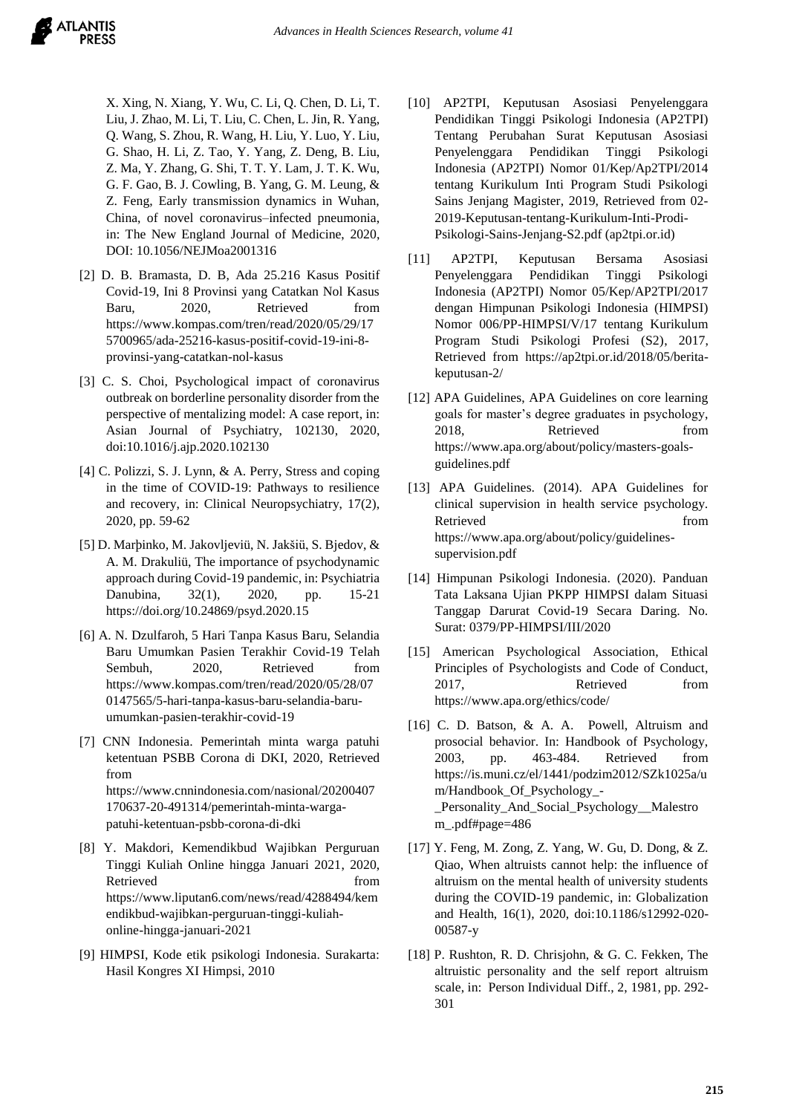X. Xing, N. Xiang, Y. Wu, C. Li, Q. Chen, D. Li, T. Liu, J. Zhao, M. Li, T. Liu, C. Chen, L. Jin, R. Yang, Q. Wang, S. Zhou, R. Wang, H. Liu, Y. Luo, Y. Liu, G. Shao, H. Li, Z. Tao, Y. Yang, Z. Deng, B. Liu, Z. Ma, Y. Zhang, G. Shi, T. T. Y. Lam, J. T. K. Wu, G. F. Gao, B. J. Cowling, B. Yang, G. M. Leung, & Z. Feng, Early transmission dynamics in Wuhan, China, of novel coronavirus–infected pneumonia, in: The New England Journal of Medicine, 2020, DOI: 10.1056/NEJMoa2001316

- [2] D. B. Bramasta, D. B, Ada 25.216 Kasus Positif Covid-19, Ini 8 Provinsi yang Catatkan Nol Kasus Baru, 2020, Retrieved from [https://www.kompas.com/tren/read/2020/05/29/17](https://www.kompas.com/tren/read/2020/05/29/175700965/ada-25216-kasus-positif-covid-19-ini-8-provinsi-yang-catatkan-nol-kasus) [5700965/ada-25216-kasus-positif-covid-19-ini-8](https://www.kompas.com/tren/read/2020/05/29/175700965/ada-25216-kasus-positif-covid-19-ini-8-provinsi-yang-catatkan-nol-kasus) [provinsi-yang-catatkan-nol-kasus](https://www.kompas.com/tren/read/2020/05/29/175700965/ada-25216-kasus-positif-covid-19-ini-8-provinsi-yang-catatkan-nol-kasus)
- [3] C. S. Choi, Psychological impact of coronavirus outbreak on borderline personality disorder from the perspective of mentalizing model: A case report, in: Asian Journal of Psychiatry, 102130, 2020, doi:10.1016/j.ajp.2020.102130
- [4] C. Polizzi, S. J. Lynn, & A. Perry, Stress and coping in the time of COVID-19: Pathways to resilience and recovery, in: Clinical Neuropsychiatry, 17(2), 2020, pp. 59-62
- [5] D. Marþinko, M. Jakovljeviü, N. Jakšiü, S. Bjedov, & A. M. Drakuliü, The importance of psychodynamic approach during Covid-19 pandemic, in: Psychiatria Danubina, 32(1), 2020, pp. 15-21 <https://doi.org/10.24869/psyd.2020.15>
- [6] A. N. Dzulfaroh, 5 Hari Tanpa Kasus Baru, Selandia Baru Umumkan Pasien Terakhir Covid-19 Telah Sembuh, 2020, Retrieved from [https://www.kompas.com/tren/read/2020/05/28/07](https://www.kompas.com/tren/read/2020/05/28/070147565/5-hari-tanpa-kasus-baru-selandia-baru-umumkan-pasien-terakhir-covid-19) [0147565/5-hari-tanpa-kasus-baru-selandia-baru](https://www.kompas.com/tren/read/2020/05/28/070147565/5-hari-tanpa-kasus-baru-selandia-baru-umumkan-pasien-terakhir-covid-19)[umumkan-pasien-terakhir-covid-19](https://www.kompas.com/tren/read/2020/05/28/070147565/5-hari-tanpa-kasus-baru-selandia-baru-umumkan-pasien-terakhir-covid-19)
- [7] CNN Indonesia. Pemerintah minta warga patuhi ketentuan PSBB Corona di DKI, 2020, Retrieved from [https://www.cnnindonesia.com/nasional/20200407](https://www.cnnindonesia.com/nasional/20200407170637-20-491314/pemerintah-minta-warga-patuhi-ketentuan-psbb-corona-di-dki) [170637-20-491314/pemerintah-minta-warga](https://www.cnnindonesia.com/nasional/20200407170637-20-491314/pemerintah-minta-warga-patuhi-ketentuan-psbb-corona-di-dki)[patuhi-ketentuan-psbb-corona-di-dki](https://www.cnnindonesia.com/nasional/20200407170637-20-491314/pemerintah-minta-warga-patuhi-ketentuan-psbb-corona-di-dki)
- [8] Y. Makdori, Kemendikbud Wajibkan Perguruan Tinggi Kuliah Online hingga Januari 2021, 2020, Retrieved from the state of  $\sim$ https://www.liputan6.com/news/read/4288494/kem endikbud-wajibkan-perguruan-tinggi-kuliahonline-hingga-januari-2021
- [9] HIMPSI, Kode etik psikologi Indonesia. Surakarta: Hasil Kongres XI Himpsi, 2010
- [10] AP2TPI, Keputusan Asosiasi Penyelenggara Pendidikan Tinggi Psikologi Indonesia (AP2TPI) Tentang Perubahan Surat Keputusan Asosiasi Penyelenggara Pendidikan Tinggi Psikologi Indonesia (AP2TPI) Nomor 01/Kep/Ap2TPI/2014 tentang Kurikulum Inti Program Studi Psikologi Sains Jenjang Magister, 2019, Retrieved from 02- 2019-Keputusan-tentang-Kurikulum-Inti-Prodi-Psikologi-Sains-Jenjang-S2.pdf (ap2tpi.or.id)
- [11] AP2TPI, Keputusan Bersama Asosiasi Penyelenggara Pendidikan Tinggi Psikologi Indonesia (AP2TPI) Nomor 05/Kep/AP2TPI/2017 dengan Himpunan Psikologi Indonesia (HIMPSI) Nomor 006/PP-HIMPSI/V/17 tentang Kurikulum Program Studi Psikologi Profesi (S2), 2017, Retrieved from [https://ap2tpi.or.id/2018/05/berita](https://ap2tpi.or.id/2018/05/berita-keputusan-2/)[keputusan-2/](https://ap2tpi.or.id/2018/05/berita-keputusan-2/)
- [12] APA Guidelines, APA Guidelines on core learning goals for master's degree graduates in psychology, 2018. Retrieved from [https://www.apa.org/about/policy/masters-goals](https://www.apa.org/about/policy/masters-goals-guidelines.pdf)[guidelines.pdf](https://www.apa.org/about/policy/masters-goals-guidelines.pdf)
- [13] APA Guidelines. (2014). APA Guidelines for clinical supervision in health service psychology. Retrieved from  $\sim$ [https://www.apa.org/about/policy/guidelines](https://www.apa.org/about/policy/guidelines-supervision.pdf)[supervision.pdf](https://www.apa.org/about/policy/guidelines-supervision.pdf)
- [14] Himpunan Psikologi Indonesia. (2020). Panduan Tata Laksana Ujian PKPP HIMPSI dalam Situasi Tanggap Darurat Covid-19 Secara Daring. No. Surat: 0379/PP-HIMPSI/III/2020
- [15] American Psychological Association, Ethical Principles of Psychologists and Code of Conduct, 2017, Retrieved from <https://www.apa.org/ethics/code/>
- [16] C. D. Batson, & A. A. Powell, Altruism and prosocial behavior. In: Handbook of Psychology, 2003, pp. 463-484. Retrieved from [https://is.muni.cz/el/1441/podzim2012/SZk1025a/u](https://is.muni.cz/el/1441/podzim2012/SZk1025a/um/Handbook_Of_Psychology_-_Personality_And_Social_Psychology__Malestrom_.pdf#page=486) [m/Handbook\\_Of\\_Psychology\\_-](https://is.muni.cz/el/1441/podzim2012/SZk1025a/um/Handbook_Of_Psychology_-_Personality_And_Social_Psychology__Malestrom_.pdf#page=486) [\\_Personality\\_And\\_Social\\_Psychology\\_\\_Malestro](https://is.muni.cz/el/1441/podzim2012/SZk1025a/um/Handbook_Of_Psychology_-_Personality_And_Social_Psychology__Malestrom_.pdf#page=486) [m\\_.pdf#page=486](https://is.muni.cz/el/1441/podzim2012/SZk1025a/um/Handbook_Of_Psychology_-_Personality_And_Social_Psychology__Malestrom_.pdf#page=486)
- [17] Y. Feng, M. Zong, Z. Yang, W. Gu, D. Dong, & Z. Qiao, When altruists cannot help: the influence of altruism on the mental health of university students during the COVID-19 pandemic, in: Globalization and Health, 16(1), 2020, doi:10.1186/s12992-020- 00587-y
- [18] P. Rushton, R. D. Chrisjohn, & G. C. Fekken, The altruistic personality and the self report altruism scale, in: Person Individual Diff., 2, 1981, pp. 292- 301